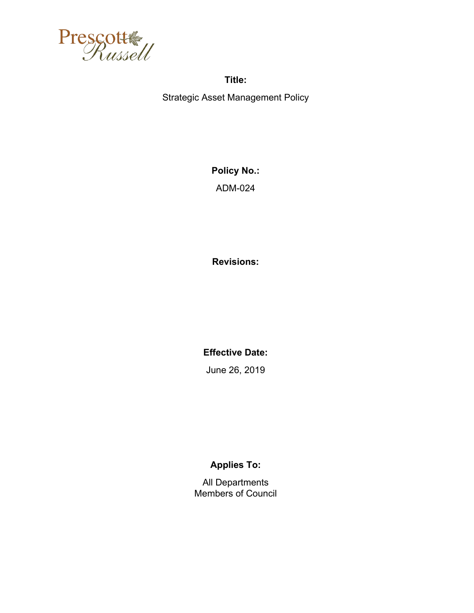

**Title:**  Strategic Asset Management Policy

> **Policy No.:**  ADM-024

**Revisions:** 

**Effective Date:** 

June 26, 2019

# **Applies To:**

All Departments Members of Council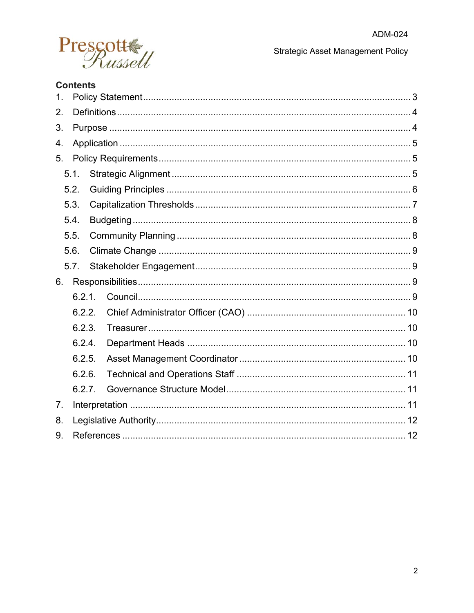

**Strategic Asset Management Policy** 

# **Contents**

| $\mathbf 1$ . |        |  |  |  |
|---------------|--------|--|--|--|
| 2.            |        |  |  |  |
| 3.            |        |  |  |  |
| 4.            |        |  |  |  |
| 5.            |        |  |  |  |
|               | 5.1.   |  |  |  |
|               | 5.2.   |  |  |  |
|               | 5.3.   |  |  |  |
|               | 5.4.   |  |  |  |
|               | 5.5.   |  |  |  |
|               | 5.6.   |  |  |  |
|               | 5.7.   |  |  |  |
| 6.            |        |  |  |  |
|               | 6.2.1  |  |  |  |
|               | 6.2.2. |  |  |  |
|               | 6.2.3. |  |  |  |
|               | 6.2.4. |  |  |  |
|               | 6.2.5. |  |  |  |
|               | 6.2.6. |  |  |  |
|               | 6.2.7. |  |  |  |
| 7.            |        |  |  |  |
| 8.            |        |  |  |  |
| 9.            |        |  |  |  |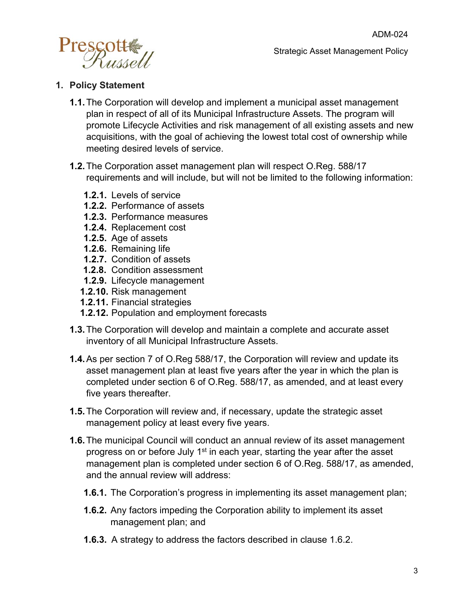

#### <span id="page-2-0"></span>**1. Policy Statement**

- **1.1.**The Corporation will develop and implement a municipal asset management plan in respect of all of its Municipal Infrastructure Assets. The program will promote Lifecycle Activities and risk management of all existing assets and new acquisitions, with the goal of achieving the lowest total cost of ownership while meeting desired levels of service.
- **1.2.**The Corporation asset management plan will respect O.Reg. 588/17 requirements and will include, but will not be limited to the following information:
	- **1.2.1.** Levels of service
	- **1.2.2.** Performance of assets
	- **1.2.3.** Performance measures
	- **1.2.4.** Replacement cost
	- **1.2.5.** Age of assets
	- **1.2.6.** Remaining life
	- **1.2.7.** Condition of assets
	- **1.2.8.** Condition assessment
	- **1.2.9.** Lifecycle management
	- **1.2.10.** Risk management
	- **1.2.11.** Financial strategies
	- **1.2.12.** Population and employment forecasts
- **1.3.**The Corporation will develop and maintain a complete and accurate asset inventory of all Municipal Infrastructure Assets.
- **1.4.**As per section 7 of O.Reg 588/17, the Corporation will review and update its asset management plan at least five years after the year in which the plan is completed under section 6 of O.Reg. 588/17, as amended, and at least every five years thereafter.
- **1.5.**The Corporation will review and, if necessary, update the strategic asset management policy at least every five years.
- **1.6.**The municipal Council will conduct an annual review of its asset management progress on or before July 1<sup>st</sup> in each year, starting the year after the asset management plan is completed under section 6 of O.Reg. 588/17, as amended, and the annual review will address:
	- **1.6.1.** The Corporation's progress in implementing its asset management plan;
	- **1.6.2.** Any factors impeding the Corporation ability to implement its asset management plan; and
	- **1.6.3.** A strategy to address the factors described in clause 1.6.2.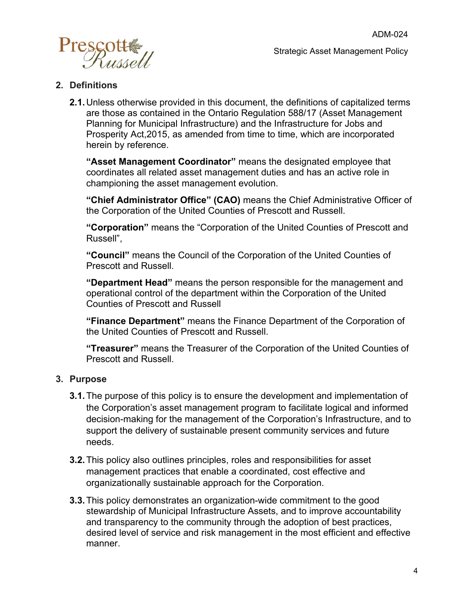

#### <span id="page-3-0"></span>**2. Definitions**

**2.1.**Unless otherwise provided in this document, the definitions of capitalized terms are those as contained in the Ontario Regulation 588/17 (Asset Management Planning for Municipal Infrastructure) and the Infrastructure for Jobs and Prosperity Act,2015, as amended from time to time, which are incorporated herein by reference.

**"Asset Management Coordinator"** means the designated employee that coordinates all related asset management duties and has an active role in championing the asset management evolution.

**"Chief Administrator Office" (CAO)** means the Chief Administrative Officer of the Corporation of the United Counties of Prescott and Russell.

**"Corporation"** means the "Corporation of the United Counties of Prescott and Russell",

**"Council"** means the Council of the Corporation of the United Counties of Prescott and Russell.

**"Department Head"** means the person responsible for the management and operational control of the department within the Corporation of the United Counties of Prescott and Russell

**"Finance Department"** means the Finance Department of the Corporation of the United Counties of Prescott and Russell.

**"Treasurer"** means the Treasurer of the Corporation of the United Counties of Prescott and Russell.

#### <span id="page-3-1"></span>**3. Purpose**

- **3.1.**The purpose of this policy is to ensure the development and implementation of the Corporation's asset management program to facilitate logical and informed decision-making for the management of the Corporation's Infrastructure, and to support the delivery of sustainable present community services and future needs.
- **3.2.**This policy also outlines principles, roles and responsibilities for asset management practices that enable a coordinated, cost effective and organizationally sustainable approach for the Corporation.
- **3.3.**This policy demonstrates an organization-wide commitment to the good stewardship of Municipal Infrastructure Assets, and to improve accountability and transparency to the community through the adoption of best practices, desired level of service and risk management in the most efficient and effective manner.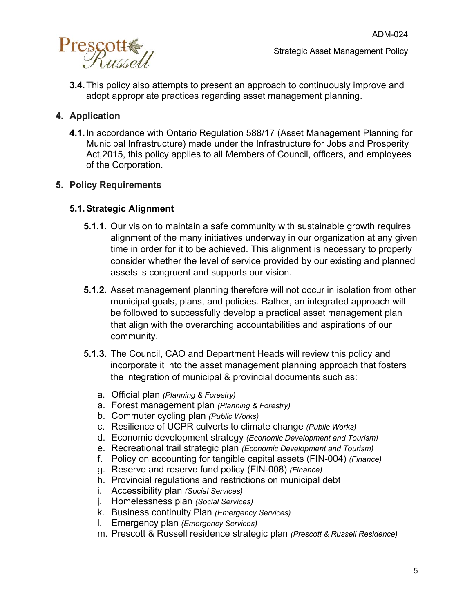

**3.4.**This policy also attempts to present an approach to continuously improve and adopt appropriate practices regarding asset management planning.

## <span id="page-4-0"></span>**4. Application**

**4.1.**In accordance with Ontario Regulation 588/17 (Asset Management Planning for Municipal Infrastructure) made under the Infrastructure for Jobs and Prosperity Act,2015, this policy applies to all Members of Council, officers, and employees of the Corporation.

### <span id="page-4-1"></span>**5. Policy Requirements**

#### <span id="page-4-2"></span>**5.1.Strategic Alignment**

- **5.1.1.** Our vision to maintain a safe community with sustainable growth requires alignment of the many initiatives underway in our organization at any given time in order for it to be achieved. This alignment is necessary to properly consider whether the level of service provided by our existing and planned assets is congruent and supports our vision.
- **5.1.2.** Asset management planning therefore will not occur in isolation from other municipal goals, plans, and policies. Rather, an integrated approach will be followed to successfully develop a practical asset management plan that align with the overarching accountabilities and aspirations of our community.
- **5.1.3.** The Council, CAO and Department Heads will review this policy and incorporate it into the asset management planning approach that fosters the integration of municipal & provincial documents such as:
	- a. Official plan *(Planning & Forestry)*
	- a. Forest management plan *(Planning & Forestry)*
	- b. Commuter cycling plan *(Public Works)*
	- c. Resilience of UCPR culverts to climate change *(Public Works)*
	- d. Economic development strategy *(Economic Development and Tourism)*
	- e. Recreational trail strategic plan *(Economic Development and Tourism)*
	- f. Policy on accounting for tangible capital assets (FIN-004) *(Finance)*
	- g. Reserve and reserve fund policy (FIN-008) *(Finance)*
	- h. Provincial regulations and restrictions on municipal debt
	- i. Accessibility plan *(Social Services)*
	- j. Homelessness plan *(Social Services)*
	- k. Business continuity Plan *(Emergency Services)*
	- l. Emergency plan *(Emergency Services)*
	- m. Prescott & Russell residence strategic plan *(Prescott & Russell Residence)*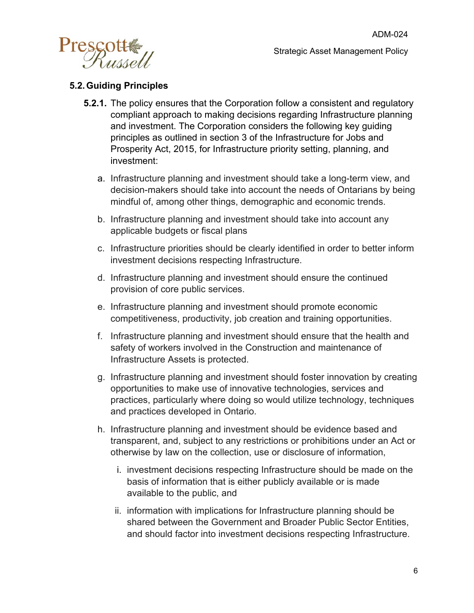

## <span id="page-5-0"></span>**5.2.Guiding Principles**

- **5.2.1.** The policy ensures that the Corporation follow a consistent and regulatory compliant approach to making decisions regarding Infrastructure planning and investment. The Corporation considers the following key guiding principles as outlined in section 3 of the Infrastructure for Jobs and Prosperity Act, 2015, for Infrastructure priority setting, planning, and investment:
	- a. Infrastructure planning and investment should take a long-term view, and decision-makers should take into account the needs of Ontarians by being mindful of, among other things, demographic and economic trends.
	- b. Infrastructure planning and investment should take into account any applicable budgets or fiscal plans
	- c. Infrastructure priorities should be clearly identified in order to better inform investment decisions respecting Infrastructure.
	- d. Infrastructure planning and investment should ensure the continued provision of core public services.
	- e. Infrastructure planning and investment should promote economic competitiveness, productivity, job creation and training opportunities.
	- f. Infrastructure planning and investment should ensure that the health and safety of workers involved in the Construction and maintenance of Infrastructure Assets is protected.
	- g. Infrastructure planning and investment should foster innovation by creating opportunities to make use of innovative technologies, services and practices, particularly where doing so would utilize technology, techniques and practices developed in Ontario.
	- h. Infrastructure planning and investment should be evidence based and transparent, and, subject to any restrictions or prohibitions under an Act or otherwise by law on the collection, use or disclosure of information,
		- i. investment decisions respecting Infrastructure should be made on the basis of information that is either publicly available or is made available to the public, and
		- ii. information with implications for Infrastructure planning should be shared between the Government and Broader Public Sector Entities, and should factor into investment decisions respecting Infrastructure.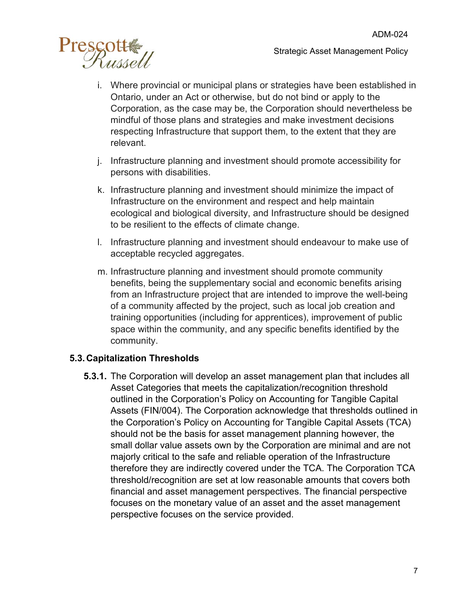

- i. Where provincial or municipal plans or strategies have been established in Ontario, under an Act or otherwise, but do not bind or apply to the Corporation, as the case may be, the Corporation should nevertheless be mindful of those plans and strategies and make investment decisions respecting Infrastructure that support them, to the extent that they are relevant.
- j. Infrastructure planning and investment should promote accessibility for persons with disabilities.
- k. Infrastructure planning and investment should minimize the impact of Infrastructure on the environment and respect and help maintain ecological and biological diversity, and Infrastructure should be designed to be resilient to the effects of climate change.
- l. Infrastructure planning and investment should endeavour to make use of acceptable recycled aggregates.
- m. Infrastructure planning and investment should promote community benefits, being the supplementary social and economic benefits arising from an Infrastructure project that are intended to improve the well-being of a community affected by the project, such as local job creation and training opportunities (including for apprentices), improvement of public space within the community, and any specific benefits identified by the community.

## <span id="page-6-0"></span>**5.3.Capitalization Thresholds**

**5.3.1.** The Corporation will develop an asset management plan that includes all Asset Categories that meets the capitalization/recognition threshold outlined in the Corporation's Policy on Accounting for Tangible Capital Assets (FIN/004). The Corporation acknowledge that thresholds outlined in the Corporation's Policy on Accounting for Tangible Capital Assets (TCA) should not be the basis for asset management planning however, the small dollar value assets own by the Corporation are minimal and are not majorly critical to the safe and reliable operation of the Infrastructure therefore they are indirectly covered under the TCA. The Corporation TCA threshold/recognition are set at low reasonable amounts that covers both financial and asset management perspectives. The financial perspective focuses on the monetary value of an asset and the asset management perspective focuses on the service provided.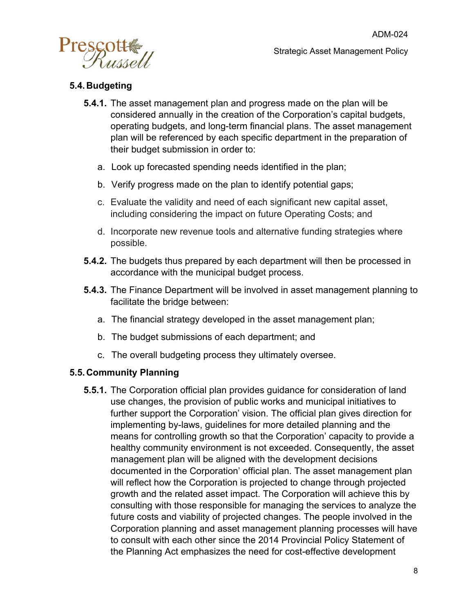

## <span id="page-7-0"></span>**5.4.Budgeting**

- **5.4.1.** The asset management plan and progress made on the plan will be considered annually in the creation of the Corporation's capital budgets, operating budgets, and long-term financial plans. The asset management plan will be referenced by each specific department in the preparation of their budget submission in order to:
	- a. Look up forecasted spending needs identified in the plan;
	- b. Verify progress made on the plan to identify potential gaps;
	- c. Evaluate the validity and need of each significant new capital asset, including considering the impact on future Operating Costs; and
	- d. Incorporate new revenue tools and alternative funding strategies where possible.
- **5.4.2.** The budgets thus prepared by each department will then be processed in accordance with the municipal budget process.
- **5.4.3.** The Finance Department will be involved in asset management planning to facilitate the bridge between:
	- a. The financial strategy developed in the asset management plan;
	- b. The budget submissions of each department; and
	- c. The overall budgeting process they ultimately oversee.

## <span id="page-7-1"></span>**5.5.Community Planning**

**5.5.1.** The Corporation official plan provides guidance for consideration of land use changes, the provision of public works and municipal initiatives to further support the Corporation' vision. The official plan gives direction for implementing by-laws, guidelines for more detailed planning and the means for controlling growth so that the Corporation' capacity to provide a healthy community environment is not exceeded. Consequently, the asset management plan will be aligned with the development decisions documented in the Corporation' official plan. The asset management plan will reflect how the Corporation is projected to change through projected growth and the related asset impact. The Corporation will achieve this by consulting with those responsible for managing the services to analyze the future costs and viability of projected changes. The people involved in the Corporation planning and asset management planning processes will have to consult with each other since the 2014 Provincial Policy Statement of the Planning Act emphasizes the need for cost-effective development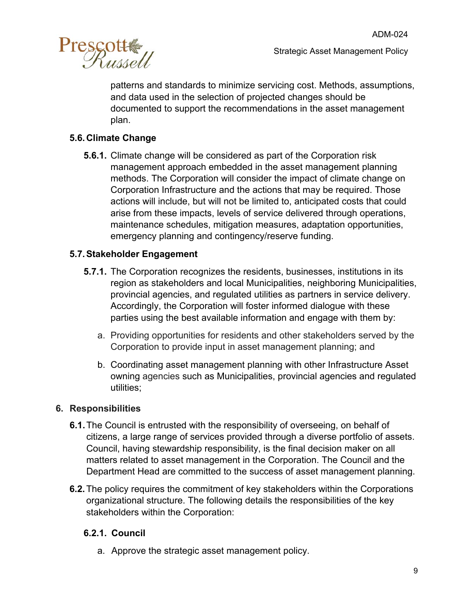

patterns and standards to minimize servicing cost. Methods, assumptions, and data used in the selection of projected changes should be documented to support the recommendations in the asset management plan.

## <span id="page-8-0"></span>**5.6.Climate Change**

**5.6.1.** Climate change will be considered as part of the Corporation risk management approach embedded in the asset management planning methods. The Corporation will consider the impact of climate change on Corporation Infrastructure and the actions that may be required. Those actions will include, but will not be limited to, anticipated costs that could arise from these impacts, levels of service delivered through operations, maintenance schedules, mitigation measures, adaptation opportunities, emergency planning and contingency/reserve funding.

## <span id="page-8-1"></span>**5.7.Stakeholder Engagement**

- **5.7.1.** The Corporation recognizes the residents, businesses, institutions in its region as stakeholders and local Municipalities, neighboring Municipalities, provincial agencies, and regulated utilities as partners in service delivery. Accordingly, the Corporation will foster informed dialogue with these parties using the best available information and engage with them by:
	- a. Providing opportunities for residents and other stakeholders served by the Corporation to provide input in asset management planning; and
	- b. Coordinating asset management planning with other Infrastructure Asset owning agencies such as Municipalities, provincial agencies and regulated utilities;

#### <span id="page-8-2"></span>**6. Responsibilities**

- **6.1.**The Council is entrusted with the responsibility of overseeing, on behalf of citizens, a large range of services provided through a diverse portfolio of assets. Council, having stewardship responsibility, is the final decision maker on all matters related to asset management in the Corporation. The Council and the Department Head are committed to the success of asset management planning.
- **6.2.**The policy requires the commitment of key stakeholders within the Corporations organizational structure. The following details the responsibilities of the key stakeholders within the Corporation:

## <span id="page-8-3"></span>**6.2.1. Council**

a. Approve the strategic asset management policy.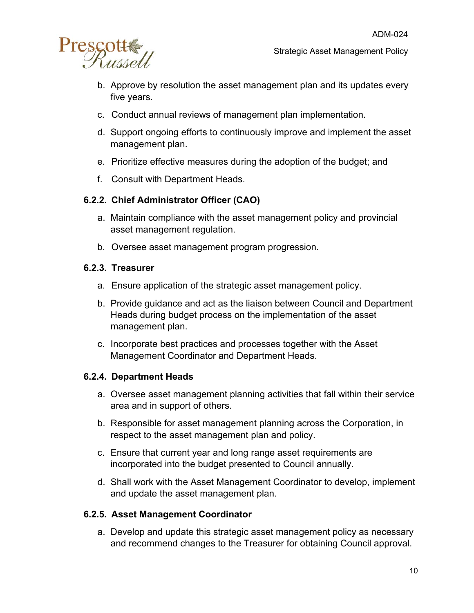

Strategic Asset Management Policy

- b. Approve by resolution the asset management plan and its updates every five years.
- c. Conduct annual reviews of management plan implementation.
- d. Support ongoing efforts to continuously improve and implement the asset management plan.
- e. Prioritize effective measures during the adoption of the budget; and
- f. Consult with Department Heads.

## <span id="page-9-0"></span>**6.2.2. Chief Administrator Officer (CAO)**

- a. Maintain compliance with the asset management policy and provincial asset management regulation.
- b. Oversee asset management program progression.

#### <span id="page-9-1"></span>**6.2.3. Treasurer**

- a. Ensure application of the strategic asset management policy.
- b. Provide guidance and act as the liaison between Council and Department Heads during budget process on the implementation of the asset management plan.
- c. Incorporate best practices and processes together with the Asset Management Coordinator and Department Heads.

## <span id="page-9-2"></span>**6.2.4. Department Heads**

- a. Oversee asset management planning activities that fall within their service area and in support of others.
- b. Responsible for asset management planning across the Corporation, in respect to the asset management plan and policy.
- c. Ensure that current year and long range asset requirements are incorporated into the budget presented to Council annually.
- d. Shall work with the Asset Management Coordinator to develop, implement and update the asset management plan.

#### <span id="page-9-3"></span>**6.2.5. Asset Management Coordinator**

a. Develop and update this strategic asset management policy as necessary and recommend changes to the Treasurer for obtaining Council approval.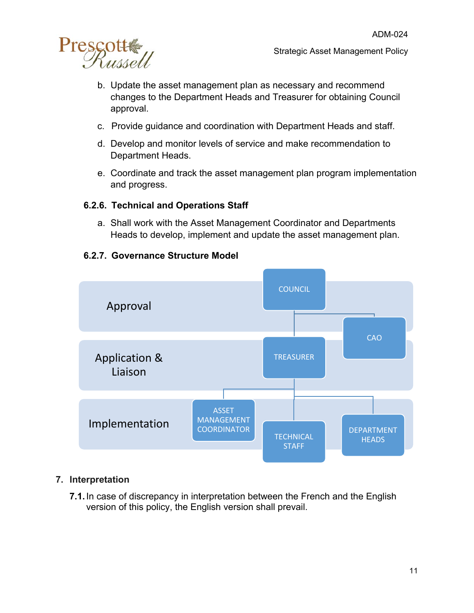

- b. Update the asset management plan as necessary and recommend changes to the Department Heads and Treasurer for obtaining Council approval.
- c. Provide guidance and coordination with Department Heads and staff.
- d. Develop and monitor levels of service and make recommendation to Department Heads.
- e. Coordinate and track the asset management plan program implementation and progress.

#### <span id="page-10-0"></span>**6.2.6. Technical and Operations Staff**

a. Shall work with the Asset Management Coordinator and Departments Heads to develop, implement and update the asset management plan.



### <span id="page-10-1"></span>**6.2.7. Governance Structure Model**

#### <span id="page-10-2"></span>**7. Interpretation**

**7.1.**In case of discrepancy in interpretation between the French and the English version of this policy, the English version shall prevail.